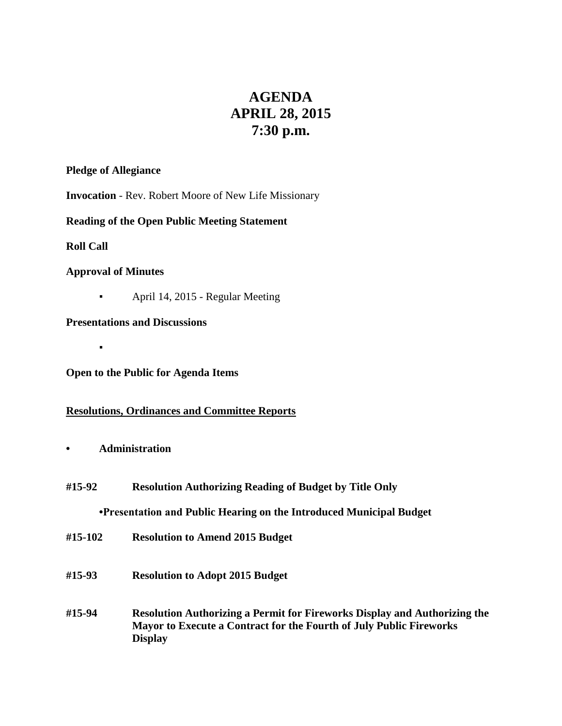# **AGENDA APRIL 28, 2015 7:30 p.m.**

## **Pledge of Allegiance**

**Invocation** - Rev. Robert Moore of New Life Missionary

# **Reading of the Open Public Meeting Statement**

**Roll Call**

# **Approval of Minutes**

▪

▪ April 14, 2015 - Regular Meeting

**Presentations and Discussions**

**Open to the Public for Agenda Items**

# **Resolutions, Ordinances and Committee Reports**

- **• Administration**
- **#15-92 Resolution Authorizing Reading of Budget by Title Only**

# **•Presentation and Public Hearing on the Introduced Municipal Budget**

- **#15-102 Resolution to Amend 2015 Budget**
- **#15-93 Resolution to Adopt 2015 Budget**
- **#15-94 Resolution Authorizing a Permit for Fireworks Display and Authorizing the Mayor to Execute a Contract for the Fourth of July Public Fireworks Display**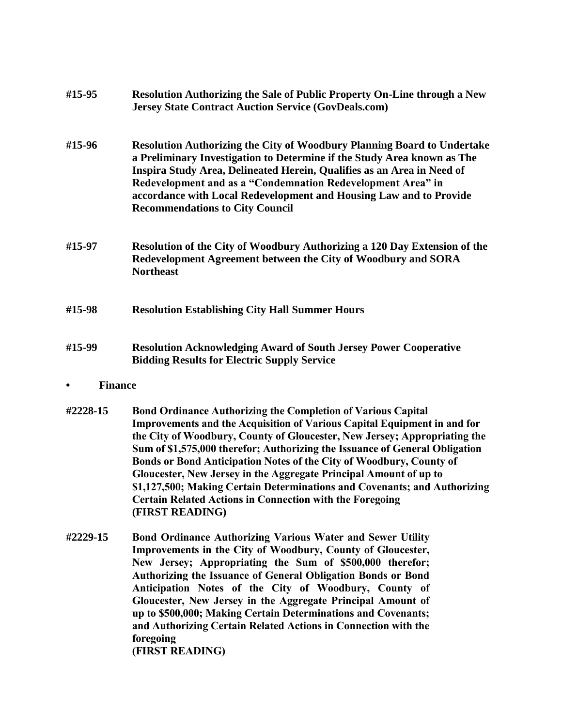| #15-95 | Resolution Authorizing the Sale of Public Property On-Line through a New<br><b>Jersey State Contract Auction Service (GovDeals.com)</b>                                                                                                                                                                                                                                                                            |
|--------|--------------------------------------------------------------------------------------------------------------------------------------------------------------------------------------------------------------------------------------------------------------------------------------------------------------------------------------------------------------------------------------------------------------------|
| #15-96 | <b>Resolution Authorizing the City of Woodbury Planning Board to Undertake</b><br>a Preliminary Investigation to Determine if the Study Area known as The<br>Inspira Study Area, Delineated Herein, Qualifies as an Area in Need of<br>Redevelopment and as a "Condemnation Redevelopment Area" in<br>accordance with Local Redevelopment and Housing Law and to Provide<br><b>Recommendations to City Council</b> |
| #15-97 | <b>Resolution of the City of Woodbury Authorizing a 120 Day Extension of the</b><br>Redevelopment Agreement between the City of Woodbury and SORA<br><b>Northeast</b>                                                                                                                                                                                                                                              |
| #15-98 | <b>Resolution Establishing City Hall Summer Hours</b>                                                                                                                                                                                                                                                                                                                                                              |
| #15-99 | <b>Resolution Acknowledging Award of South Jersey Power Cooperative</b><br><b>Bidding Results for Electric Supply Service</b>                                                                                                                                                                                                                                                                                      |
|        | <b>Finance</b>                                                                                                                                                                                                                                                                                                                                                                                                     |

- **#2228-15 Bond Ordinance Authorizing the Completion of Various Capital Improvements and the Acquisition of Various Capital Equipment in and for the City of Woodbury, County of Gloucester, New Jersey; Appropriating the Sum of \$1,575,000 therefor; Authorizing the Issuance of General Obligation Bonds or Bond Anticipation Notes of the City of Woodbury, County of Gloucester, New Jersey in the Aggregate Principal Amount of up to \$1,127,500; Making Certain Determinations and Covenants; and Authorizing Certain Related Actions in Connection with the Foregoing (FIRST READING)**
- **#2229-15 Bond Ordinance Authorizing Various Water and Sewer Utility Improvements in the City of Woodbury, County of Gloucester, New Jersey; Appropriating the Sum of \$500,000 therefor; Authorizing the Issuance of General Obligation Bonds or Bond Anticipation Notes of the City of Woodbury, County of Gloucester, New Jersey in the Aggregate Principal Amount of up to \$500,000; Making Certain Determinations and Covenants; and Authorizing Certain Related Actions in Connection with the foregoing (FIRST READING)**